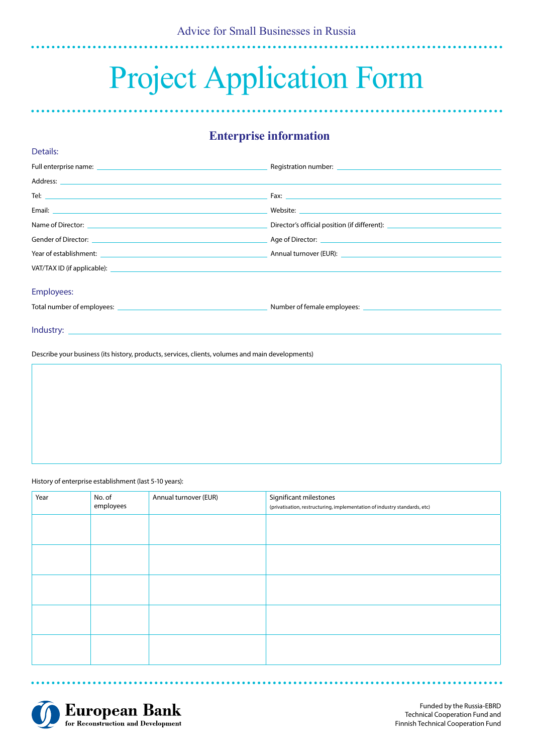# Project Application Form

# **Enterprise information**

|                                                                                                                                                                                                                                | Director's official position (if different): ___________________________________ |
|--------------------------------------------------------------------------------------------------------------------------------------------------------------------------------------------------------------------------------|----------------------------------------------------------------------------------|
|                                                                                                                                                                                                                                |                                                                                  |
| Year of establishment: National Communication of the Communication of the Communication of the Communication of the Communication of the Communication of the Communication of the Communication of the Communication of the C |                                                                                  |
|                                                                                                                                                                                                                                |                                                                                  |
| <b>Employees:</b>                                                                                                                                                                                                              |                                                                                  |
|                                                                                                                                                                                                                                |                                                                                  |

Describe your business (its history, products, services, clients, volumes and main developments)

History of enterprise establishment (last 5-10 years):

Details:

| Year | No. of<br>employees | Annual turnover (EUR) | Significant milestones<br>(privatisation, restructuring, implementation of industry standards, etc) |
|------|---------------------|-----------------------|-----------------------------------------------------------------------------------------------------|
|      |                     |                       |                                                                                                     |
|      |                     |                       |                                                                                                     |
|      |                     |                       |                                                                                                     |
|      |                     |                       |                                                                                                     |
|      |                     |                       |                                                                                                     |



Funded by the Russia-EBRD Technical Cooperation Fund and Finnish Technical Cooperation Fund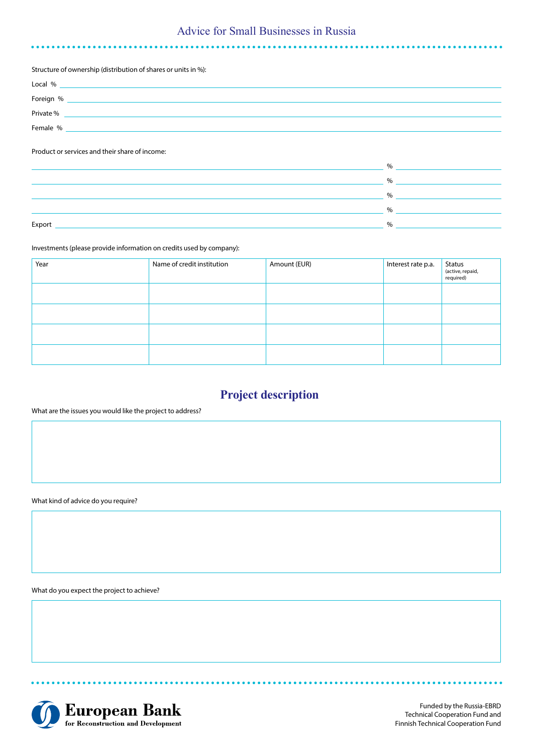### Advice for Small Businesses in Russia

Structure of ownership (distribution of shares or units in %):

| Local %   |  |
|-----------|--|
| Foreign % |  |
| Private % |  |
| Female %  |  |

Product or services and their share of income:

|        | $\%$          |
|--------|---------------|
|        | $\frac{0}{c}$ |
|        | 0/            |
|        | 0/            |
| Export | 0/            |
|        |               |

Investments (please provide information on credits used by company):

| Year | Name of credit institution | Amount (EUR) | Interest rate p.a. | Status<br>(active, repaid,<br>required) |
|------|----------------------------|--------------|--------------------|-----------------------------------------|
|      |                            |              |                    |                                         |
|      |                            |              |                    |                                         |
|      |                            |              |                    |                                         |
|      |                            |              |                    |                                         |

# **Project description**

What are the issues you would like the project to address?

What kind of advice do you require?

What do you expect the project to achieve?



**\*\*\*\*\*\*\*\*** 

Funded by the Russia-EBRD Technical Cooperation Fund and Finnish Technical Cooperation Fund